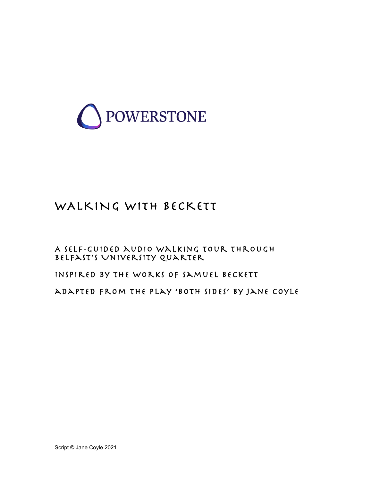

# WALKING WITH BECKETT

A self-guided audio walking tour through Belfast's University Quarter

inspired by the works of Samuel Beckett

adapted from the play 'both sides' by jane coyle

Script © Jane Coyle 2021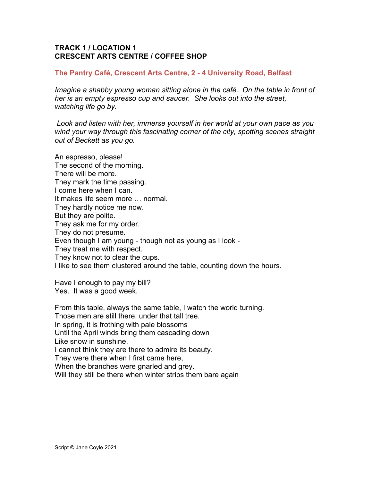# **TRACK 1 / LOCATION 1 CRESCENT ARTS CENTRE / COFFEE SHOP**

## **The Pantry Café, Crescent Arts Centre, 2 - 4 University Road, Belfast**

*Imagine a shabby young woman sitting alone in the café. On the table in front of her is an empty espresso cup and saucer. She looks out into the street, watching life go by.* 

 *Look and listen with her, immerse yourself in her world at your own pace as you wind your way through this fascinating corner of the city, spotting scenes straight out of Beckett as you go.*

An espresso, please! The second of the morning. There will be more. They mark the time passing. I come here when I can. It makes life seem more … normal. They hardly notice me now. But they are polite. They ask me for my order. They do not presume. Even though I am young - though not as young as I look - They treat me with respect. They know not to clear the cups. I like to see them clustered around the table, counting down the hours.

Have I enough to pay my bill? Yes. It was a good week.

From this table, always the same table, I watch the world turning. Those men are still there, under that tall tree. In spring, it is frothing with pale blossoms Until the April winds bring them cascading down Like snow in sunshine. I cannot think they are there to admire its beauty. They were there when I first came here, When the branches were gnarled and grey. Will they still be there when winter strips them bare again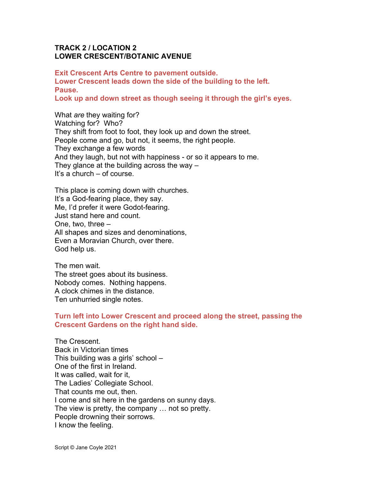# **TRACK 2 / LOCATION 2 LOWER CRESCENT/BOTANIC AVENUE**

**Exit Crescent Arts Centre to pavement outside. Lower Crescent leads down the side of the building to the left. Pause.**

**Look up and down street as though seeing it through the girl's eyes.**

What *are* they waiting for? Watching for? Who? They shift from foot to foot, they look up and down the street. People come and go, but not, it seems, the right people. They exchange a few words And they laugh, but not with happiness - or so it appears to me. They glance at the building across the way – It's a church – of course.

This place is coming down with churches. It's a God-fearing place, they say. Me, I'd prefer it were Godot-fearing. Just stand here and count. One, two, three – All shapes and sizes and denominations, Even a Moravian Church, over there. God help us.

The men wait. The street goes about its business. Nobody comes. Nothing happens. A clock chimes in the distance. Ten unhurried single notes.

## **Turn left into Lower Crescent and proceed along the street, passing the Crescent Gardens on the right hand side.**

The Crescent. Back in Victorian times This building was a girls' school – One of the first in Ireland. It was called, wait for it, The Ladies' Collegiate School. That counts me out, then. I come and sit here in the gardens on sunny days. The view is pretty, the company … not so pretty. People drowning their sorrows. I know the feeling.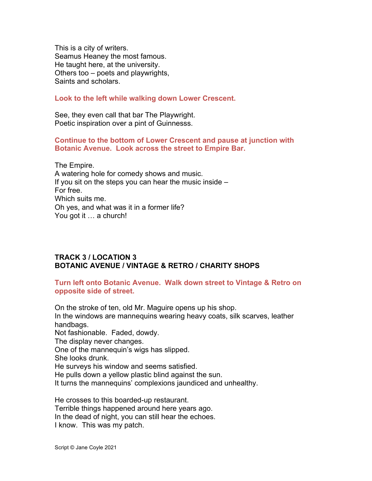This is a city of writers. Seamus Heaney the most famous. He taught here, at the university. Others too – poets and playwrights, Saints and scholars.

**Look to the left while walking down Lower Crescent.**

See, they even call that bar The Playwright. Poetic inspiration over a pint of Guinnesss.

## **Continue to the bottom of Lower Crescent and pause at junction with Botanic Avenue. Look across the street to Empire Bar.**

The Empire. A watering hole for comedy shows and music. If you sit on the steps you can hear the music inside  $-$ For free. Which suits me. Oh yes, and what was it in a former life? You got it … a church!

# **TRACK 3 / LOCATION 3 BOTANIC AVENUE / VINTAGE & RETRO / CHARITY SHOPS**

## **Turn left onto Botanic Avenue. Walk down street to Vintage & Retro on opposite side of street.**

On the stroke of ten, old Mr. Maguire opens up his shop. In the windows are mannequins wearing heavy coats, silk scarves, leather handbags. Not fashionable. Faded, dowdy. The display never changes. One of the mannequin's wigs has slipped. She looks drunk. He surveys his window and seems satisfied. He pulls down a yellow plastic blind against the sun. It turns the mannequins' complexions jaundiced and unhealthy.

He crosses to this boarded-up restaurant. Terrible things happened around here years ago. In the dead of night, you can still hear the echoes. I know. This was my patch.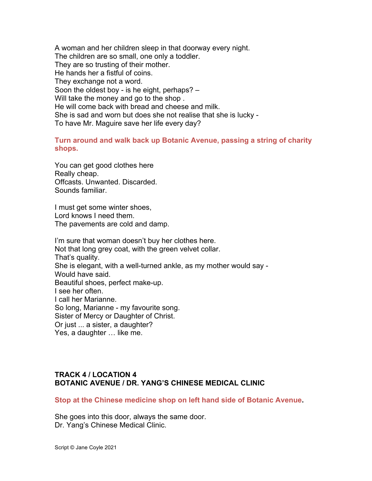A woman and her children sleep in that doorway every night. The children are so small, one only a toddler. They are so trusting of their mother. He hands her a fistful of coins. They exchange not a word. Soon the oldest boy - is he eight, perhaps? – Will take the money and go to the shop . He will come back with bread and cheese and milk. She is sad and worn but does she not realise that she is lucky - To have Mr. Maguire save her life every day?

# **Turn around and walk back up Botanic Avenue, passing a string of charity shops.**

You can get good clothes here Really cheap. Offcasts. Unwanted. Discarded. Sounds familiar.

I must get some winter shoes, Lord knows I need them. The pavements are cold and damp.

I'm sure that woman doesn't buy her clothes here. Not that long grey coat, with the green velvet collar. That's quality. She is elegant, with a well-turned ankle, as my mother would say - Would have said. Beautiful shoes, perfect make-up. I see her often. I call her Marianne. So long, Marianne - my favourite song. Sister of Mercy or Daughter of Christ. Or just ... a sister, a daughter? Yes, a daughter … like me.

# **TRACK 4 / LOCATION 4 BOTANIC AVENUE / DR. YANG'S CHINESE MEDICAL CLINIC**

**Stop at the Chinese medicine shop on left hand side of Botanic Avenue.**

She goes into this door, always the same door. Dr. Yang's Chinese Medical Clinic.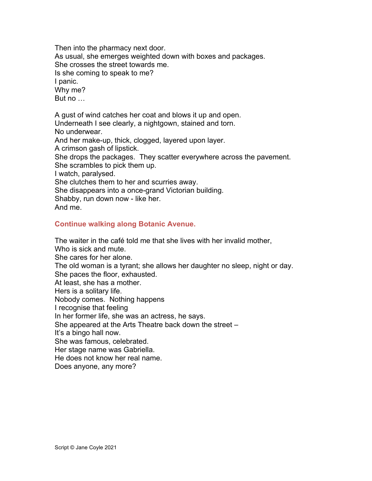Then into the pharmacy next door. As usual, she emerges weighted down with boxes and packages. She crosses the street towards me. Is she coming to speak to me? I panic. Why me? But no …

A gust of wind catches her coat and blows it up and open. Underneath I see clearly, a nightgown, stained and torn. No underwear. And her make-up, thick, clogged, layered upon layer. A crimson gash of lipstick. She drops the packages. They scatter everywhere across the pavement. She scrambles to pick them up. I watch, paralysed. She clutches them to her and scurries away. She disappears into a once-grand Victorian building. Shabby, run down now - like her. And me.

# **Continue walking along Botanic Avenue.**

The waiter in the café told me that she lives with her invalid mother, Who is sick and mute. She cares for her alone. The old woman is a tyrant; she allows her daughter no sleep, night or day. She paces the floor, exhausted. At least, she has a mother. Hers is a solitary life. Nobody comes. Nothing happens I recognise that feeling In her former life, she was an actress, he says. She appeared at the Arts Theatre back down the street – It's a bingo hall now. She was famous, celebrated. Her stage name was Gabriella. He does not know her real name. Does anyone, any more?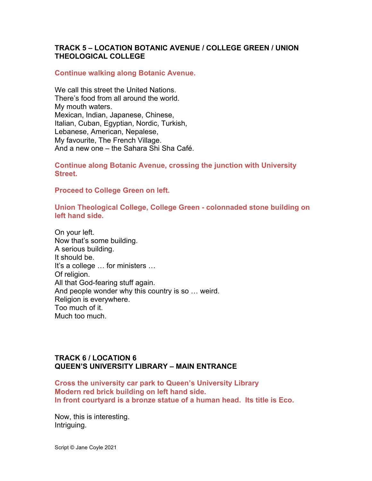# **TRACK 5 – LOCATION BOTANIC AVENUE / COLLEGE GREEN / UNION THEOLOGICAL COLLEGE**

#### **Continue walking along Botanic Avenue.**

We call this street the United Nations. There's food from all around the world. My mouth waters. Mexican, Indian, Japanese, Chinese, Italian, Cuban, Egyptian, Nordic, Turkish, Lebanese, American, Nepalese, My favourite, The French Village. And a new one – the Sahara Shi Sha Café.

**Continue along Botanic Avenue, crossing the junction with University Street.**

**Proceed to College Green on left.** 

**Union Theological College, College Green - colonnaded stone building on left hand side.**

On your left. Now that's some building. A serious building. It should be. It's a college … for ministers … Of religion. All that God-fearing stuff again. And people wonder why this country is so … weird. Religion is everywhere. Too much of it. Much too much.

# **TRACK 6 / LOCATION 6 QUEEN'S UNIVERSITY LIBRARY – MAIN ENTRANCE**

**Cross the university car park to Queen's University Library Modern red brick building on left hand side. In front courtyard is a bronze statue of a human head. Its title is Eco.**

Now, this is interesting. Intriguing.

Script © Jane Coyle 2021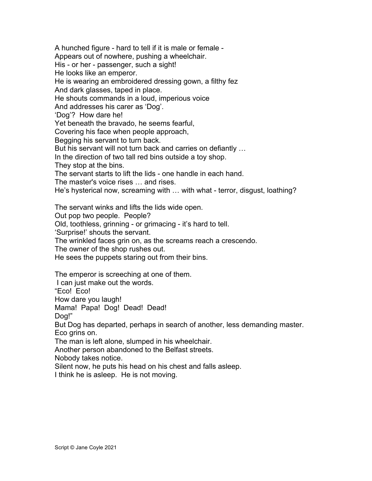A hunched figure - hard to tell if it is male or female - Appears out of nowhere, pushing a wheelchair. His - or her - passenger, such a sight! He looks like an emperor. He is wearing an embroidered dressing gown, a filthy fez And dark glasses, taped in place. He shouts commands in a loud, imperious voice And addresses his carer as 'Dog'. 'Dog'? How dare he! Yet beneath the bravado, he seems fearful, Covering his face when people approach, Begging his servant to turn back. But his servant will not turn back and carries on defiantly … In the direction of two tall red bins outside a toy shop. They stop at the bins. The servant starts to lift the lids - one handle in each hand. The master's voice rises … and rises. He's hysterical now, screaming with … with what - terror, disgust, loathing? The servant winks and lifts the lids wide open. Out pop two people. People? Old, toothless, grinning - or grimacing - it's hard to tell. 'Surprise!' shouts the servant. The wrinkled faces grin on, as the screams reach a crescendo. The owner of the shop rushes out. He sees the puppets staring out from their bins. The emperor is screeching at one of them. I can just make out the words. "Eco! Eco! How dare you laugh! Mama! Papa! Dog! Dead! Dead! Dog!" But Dog has departed, perhaps in search of another, less demanding master. Eco grins on.

The man is left alone, slumped in his wheelchair.

Another person abandoned to the Belfast streets.

Nobody takes notice.

Silent now, he puts his head on his chest and falls asleep.

I think he is asleep. He is not moving.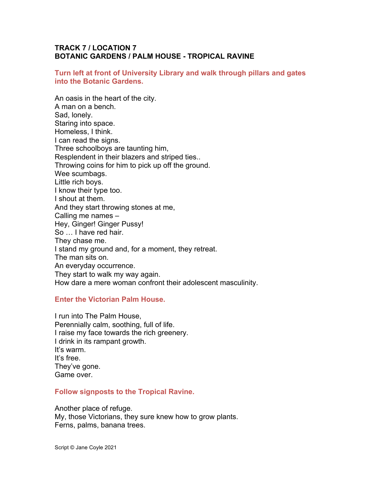# **TRACK 7 / LOCATION 7 BOTANIC GARDENS / PALM HOUSE - TROPICAL RAVINE**

#### **Turn left at front of University Library and walk through pillars and gates into the Botanic Gardens.**

An oasis in the heart of the city. A man on a bench. Sad, lonely. Staring into space. Homeless, I think. I can read the signs. Three schoolboys are taunting him, Resplendent in their blazers and striped ties.. Throwing coins for him to pick up off the ground. Wee scumbags. Little rich boys. I know their type too. I shout at them. And they start throwing stones at me, Calling me names – Hey, Ginger! Ginger Pussy! So … I have red hair. They chase me. I stand my ground and, for a moment, they retreat. The man sits on. An everyday occurrence. They start to walk my way again. How dare a mere woman confront their adolescent masculinity.

#### **Enter the Victorian Palm House.**

I run into The Palm House, Perennially calm, soothing, full of life. I raise my face towards the rich greenery. I drink in its rampant growth. It's warm. It's free. They've gone. Game over.

#### **Follow signposts to the Tropical Ravine.**

Another place of refuge.

My, those Victorians, they sure knew how to grow plants. Ferns, palms, banana trees.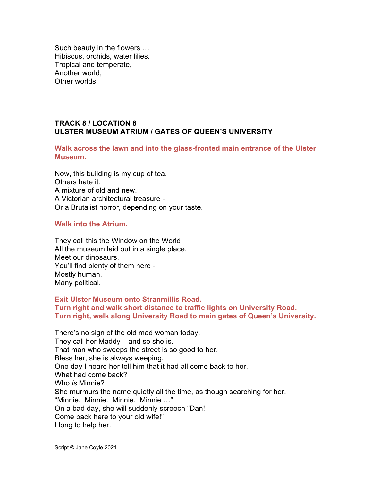Such beauty in the flowers … Hibiscus, orchids, water lilies. Tropical and temperate, Another world, Other worlds.

# **TRACK 8 / LOCATION 8 ULSTER MUSEUM ATRIUM / GATES OF QUEEN'S UNIVERSITY**

**Walk across the lawn and into the glass-fronted main entrance of the Ulster Museum.**

Now, this building is my cup of tea. Others hate it. A mixture of old and new. A Victorian architectural treasure - Or a Brutalist horror, depending on your taste.

## **Walk into the Atrium.**

They call this the Window on the World All the museum laid out in a single place. Meet our dinosaurs. You'll find plenty of them here - Mostly human. Many political.

**Exit Ulster Museum onto Stranmillis Road. Turn right and walk short distance to traffic lights on University Road. Turn right, walk along University Road to main gates of Queen's University.**

There's no sign of the old mad woman today. They call her Maddy – and so she is. That man who sweeps the street is so good to her. Bless her, she is always weeping. One day I heard her tell him that it had all come back to her. What had come back? Who *is* Minnie? She murmurs the name quietly all the time, as though searching for her. "Minnie. Minnie. Minnie. Minnie …" On a bad day, she will suddenly screech "Dan! Come back here to your old wife!" I long to help her.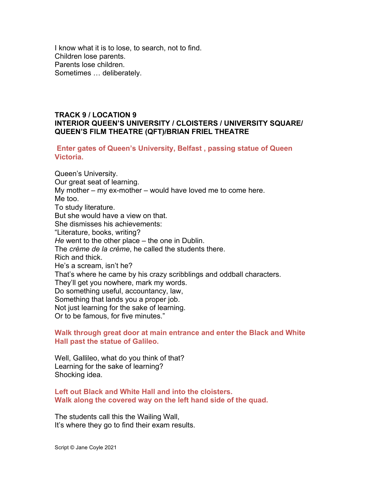I know what it is to lose, to search, not to find. Children lose parents. Parents lose children. Sometimes … deliberately.

## **TRACK 9 / LOCATION 9 INTERIOR QUEEN'S UNIVERSITY / CLOISTERS / UNIVERSITY SQUARE/ QUEEN'S FILM THEATRE (QFT)/BRIAN FRIEL THEATRE**

**Enter gates of Queen's University, Belfast , passing statue of Queen Victoria.**

Queen's University. Our great seat of learning. My mother – my ex-mother – would have loved me to come here. Me too. To study literature. But she would have a view on that. She dismisses his achievements: "Literature, books, writing? *He* went to the other place – the one in Dublin. The *crème de la crème*, he called the students there. Rich and thick. He's a scream, isn't he? That's where he came by his crazy scribblings and oddball characters. They'll get you nowhere, mark my words. Do something useful, accountancy, law, Something that lands you a proper job. Not just learning for the sake of learning. Or to be famous, for five minutes."

**Walk through great door at main entrance and enter the Black and White Hall past the statue of Galileo.**

Well, Gallileo, what do you think of that? Learning for the sake of learning? Shocking idea.

## **Left out Black and White Hall and into the cloisters. Walk along the covered way on the left hand side of the quad.**

The students call this the Wailing Wall, It's where they go to find their exam results.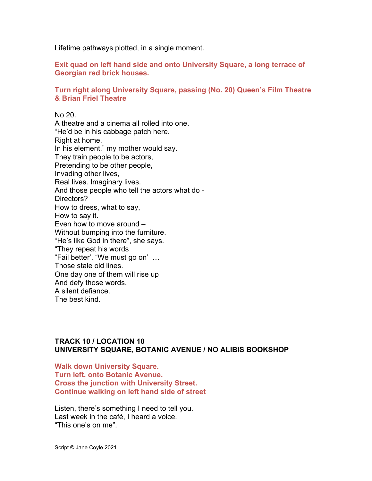Lifetime pathways plotted, in a single moment.

**Exit quad on left hand side and onto University Square, a long terrace of Georgian red brick houses.**

## **Turn right along University Square, passing (No. 20) Queen's Film Theatre & Brian Friel Theatre**

No 20. A theatre and a cinema all rolled into one. "He'd be in his cabbage patch here. Right at home. In his element," my mother would say. They train people to be actors, Pretending to be other people, Invading other lives, Real lives. Imaginary lives. And those people who tell the actors what do - Directors? How to dress, what to say, How to say it. Even how to move around – Without bumping into the furniture. "He's like God in there", she says. "They repeat his words "Fail better'. "We must go on' … Those stale old lines. One day one of them will rise up And defy those words. A silent defiance. The best kind.

#### **TRACK 10 / LOCATION 10 UNIVERSITY SQUARE, BOTANIC AVENUE / NO ALIBIS BOOKSHOP**

**Walk down University Square. Turn left, onto Botanic Avenue. Cross the junction with University Street. Continue walking on left hand side of street**

Listen, there's something I need to tell you. Last week in the café, I heard a voice. "This one's on me".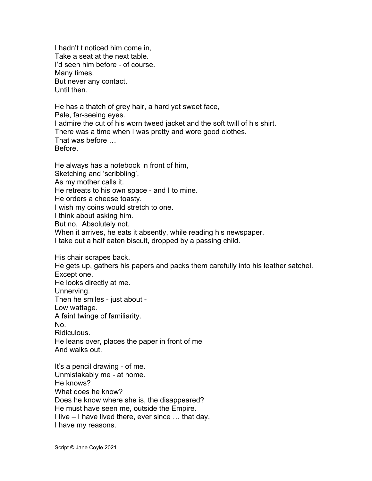I hadn't t noticed him come in, Take a seat at the next table. I'd seen him before - of course. Many times. But never any contact. Until then.

He has a thatch of grey hair, a hard yet sweet face, Pale, far-seeing eyes. I admire the cut of his worn tweed jacket and the soft twill of his shirt. There was a time when I was pretty and wore good clothes. That was before … Before.

He always has a notebook in front of him, Sketching and 'scribbling', As my mother calls it. He retreats to his own space - and I to mine. He orders a cheese toasty. I wish my coins would stretch to one. I think about asking him. But no. Absolutely not. When it arrives, he eats it absently, while reading his newspaper. I take out a half eaten biscuit, dropped by a passing child.

His chair scrapes back. He gets up, gathers his papers and packs them carefully into his leather satchel. Except one. He looks directly at me. Unnerving. Then he smiles - just about - Low wattage. A faint twinge of familiarity. No. Ridiculous. He leans over, places the paper in front of me And walks out. It's a pencil drawing - of me. Unmistakably me - at home.

He knows? What does he know? Does he know where she is, the disappeared? He must have seen me, outside the Empire. I live – I have lived there, ever since … that day. I have my reasons.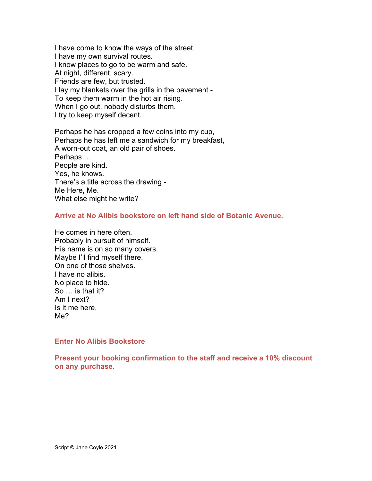I have come to know the ways of the street. I have my own survival routes. I know places to go to be warm and safe. At night, different, scary. Friends are few, but trusted. I lay my blankets over the grills in the pavement - To keep them warm in the hot air rising. When I go out, nobody disturbs them. I try to keep myself decent.

Perhaps he has dropped a few coins into my cup, Perhaps he has left me a sandwich for my breakfast, A worn-out coat, an old pair of shoes. Perhaps … People are kind. Yes, he knows. There's a title across the drawing - Me Here, Me. What else might he write?

## **Arrive at No Alibis bookstore on left hand side of Botanic Avenue.**

He comes in here often. Probably in pursuit of himself. His name is on so many covers. Maybe I'll find myself there, On one of those shelves. I have no alibis. No place to hide. So … is that it? Am I next? Is it me here, Me?

#### **Enter No Alibis Bookstore**

**Present your booking confirmation to the staff and receive a 10% discount on any purchase.**